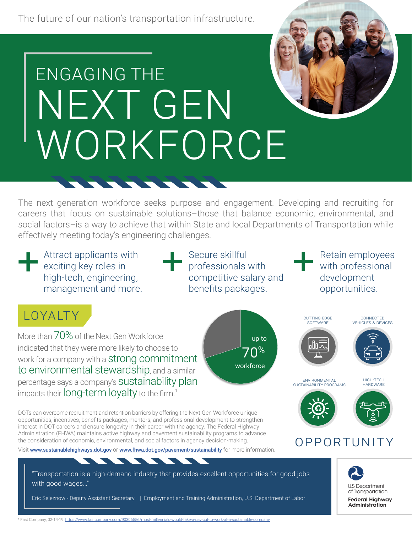The future of our nation's transportation infrastructure.

# ENGAGING THE NEXT GEN WORKFORCE

<u>STATISTICS IN THE STATISTICS IN THE STATISTICS IN THE STATISTICS IN THE STATISTICS IN THE STATISTICS IN THE STATISTICS IN THE STATISTICS IN THE STATISTICS IN THE STATISTICS IN THE STATISTICS IN THE STATISTICS IN THE STATI</u>

The next generation workforce seeks purpose and engagement. Developing and recruiting for careers that focus on sustainable solutions–those that balance economic, environmental, and social factors–is a way to achieve that within State and local Departments of Transportation while effectively meeting today's engineering challenges.

**Attract applicants with**  $\blacksquare$  exciting key roles in high-tech, engineering, management and more. + + +

Secure skillful professionals with competitive salary and benefits packages.

up to

 $70<sup>%</sup>$ 

workforce

Retain employees with professional development opportunities.

### LOYALTY CUTTING-EDGE

More than 70% of the Next Gen Workforce indicated that they were more likely to choose to work for a company with a **strong commitment** to environmental stewardship, and a similar percentage says a company's sustainability plan impacts their  $long\text{-term}$   $\mathsf{log}\text{-}\mathsf{l}$ ty to the firm. $^1$ 

 DOTs can overcome recruitment and retention barriers by offering the Next Gen Workforce unique opportunities, incentives, benefits packages, mentors, and professional development to strengthen interest in DOT careers and ensure longevity in their career with the agency. The Federal Highway Administration (FHWA) maintains active highway and pavement sustainability programs to advance the consideration of economic, environmental, and social factors in agency decision-making.  $\cap \mathsf{PP} \cap \mathsf{PT} \cup \mathsf{N}$ 

Visit [www.sustainablehighways.dot.gov](https://www.sustainablehighways.dot.gov) or www.fhwa.dot.gov/pavement/sustainability for more information.

 $\blacksquare$ 

"Transportation is a high-demand industry that provides excellent opportunities for good jobs with good wages…"

**START START** 

**START** 

Eric Seleznow - Deputy Assistant Secretary | Employment and Training Administration, U.S. Department of Labor





environmental sustainability programs



**HARDWARE** 

high-tech